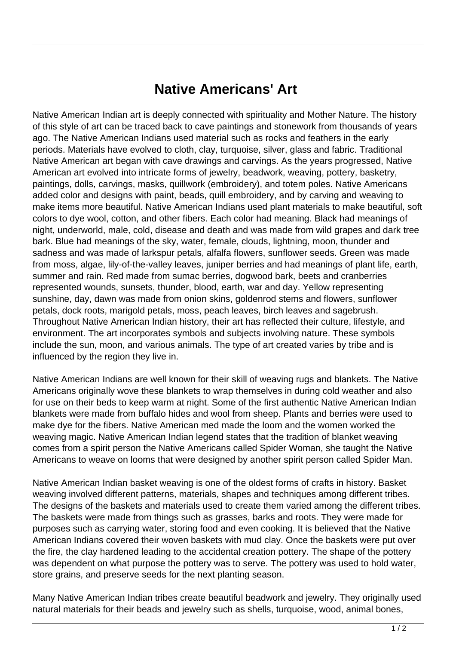## **Native Americans' Art**

Native American Indian art is deeply connected with spirituality and Mother Nature. The history of this style of art can be traced back to cave paintings and stonework from thousands of years ago. The Native American Indians used material such as rocks and feathers in the early periods. Materials have evolved to cloth, clay, turquoise, silver, glass and fabric. Traditional Native American art began with cave drawings and carvings. As the years progressed, Native American art evolved into intricate forms of jewelry, beadwork, weaving, pottery, basketry, paintings, dolls, carvings, masks, quillwork (embroidery), and totem poles. Native Americans added color and designs with paint, beads, quill embroidery, and by carving and weaving to make items more beautiful. Native American Indians used plant materials to make beautiful, soft colors to dye wool, cotton, and other fibers. Each color had meaning. Black had meanings of night, underworld, male, cold, disease and death and was made from wild grapes and dark tree bark. Blue had meanings of the sky, water, female, clouds, lightning, moon, thunder and sadness and was made of larkspur petals, alfalfa flowers, sunflower seeds. Green was made from moss, algae, lily-of-the-valley leaves, juniper berries and had meanings of plant life, earth, summer and rain. Red made from sumac berries, dogwood bark, beets and cranberries represented wounds, sunsets, thunder, blood, earth, war and day. Yellow representing sunshine, day, dawn was made from onion skins, goldenrod stems and flowers, sunflower petals, dock roots, marigold petals, moss, peach leaves, birch leaves and sagebrush. Throughout Native American Indian history, their art has reflected their culture, lifestyle, and environment. The art incorporates symbols and subjects involving nature. These symbols include the sun, moon, and various animals. The type of art created varies by tribe and is influenced by the region they live in.

Native American Indians are well known for their skill of weaving rugs and blankets. The Native Americans originally wove these blankets to wrap themselves in during cold weather and also for use on their beds to keep warm at night. Some of the first authentic Native American Indian blankets were made from buffalo hides and wool from sheep. Plants and berries were used to make dye for the fibers. Native American med made the loom and the women worked the weaving magic. Native American Indian legend states that the tradition of blanket weaving comes from a spirit person the Native Americans called Spider Woman, she taught the Native Americans to weave on looms that were designed by another spirit person called Spider Man.

Native American Indian basket weaving is one of the oldest forms of crafts in history. Basket weaving involved different patterns, materials, shapes and techniques among different tribes. The designs of the baskets and materials used to create them varied among the different tribes. The baskets were made from things such as grasses, barks and roots. They were made for purposes such as carrying water, storing food and even cooking. It is believed that the Native American Indians covered their woven baskets with mud clay. Once the baskets were put over the fire, the clay hardened leading to the accidental creation pottery. The shape of the pottery was dependent on what purpose the pottery was to serve. The pottery was used to hold water, store grains, and preserve seeds for the next planting season.

Many Native American Indian tribes create beautiful beadwork and jewelry. They originally used natural materials for their beads and jewelry such as shells, turquoise, wood, animal bones,